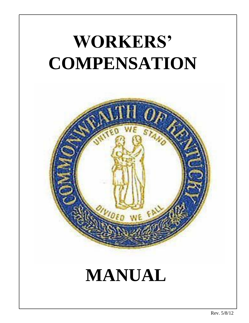## **WORKERS' COMPENSATION**

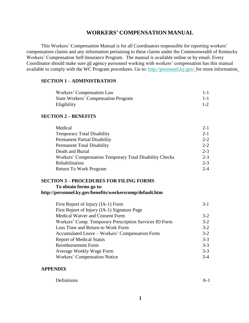#### **WORKERS' COMPENSATION MANUAL**

This Workers' Compensation Manual is for all Coordinators responsible for reporting workers' compensation claims and any information pertaining to these claims under the Commonwealth of Kentucky Workers' Compensation Self-Insurance Program. The manual is available online or by email. Every Coordinator should make sure all agency personnel working with workers' compensation has this manual available to comply with the WC Program procedures. Go to:<http://personnel.ky.gov/> for more information.

#### **SECTION 1 – ADMINISTRATION**

| Workers' Compensation Law                  | $1 - 1$ |
|--------------------------------------------|---------|
| <b>State Workers' Compensation Program</b> | $1 - 1$ |
| Eligibility                                | $1 - 2$ |

#### **SECTION 2 – BENEFITS**

| Medical                                                 | $2 - 1$ |
|---------------------------------------------------------|---------|
| <b>Temporary Total Disability</b>                       | $2 - 1$ |
| <b>Permanent Partial Disability</b>                     | $2 - 2$ |
| <b>Permanent Total Disability</b>                       | $2 - 2$ |
| Death and Burial                                        | $2 - 3$ |
| Workers' Compensation Temporary Total Disability Checks | $2 - 3$ |
| Rehabilitation                                          | $2 - 3$ |
| Return To Work Program                                  | $2 - 4$ |

#### **SECTION 3 – PROCEDURES FOR FILING FORMS**

**To obtain forms go to:**

#### **<http://personnel.ky.gov/benefits/workerscomp/default.htm>**

| First Report of Injury (IA-1) Form                     | $3-1$   |
|--------------------------------------------------------|---------|
| First Report of Injury (IA-1) Signature Page           |         |
| <b>Medical Waiver and Consent Form</b>                 | $3-2$   |
| Workers' Comp. Temporary Prescription Services ID Form | $3-2$   |
| Loss Time and Return to Work Form                      | $3-2$   |
| Accumulated Leave – Workers' Compensation Form         | $3-2$   |
| <b>Report of Medical Status</b>                        | $3 - 3$ |
| <b>Reimbursement Form</b>                              | $3 - 3$ |
| Average Weekly Wage Form                               | $3 - 3$ |
| Workers' Compensation Notice                           | $3-4$   |

#### **APPENDIX**

| Definitions | $A - I$ |
|-------------|---------|
|-------------|---------|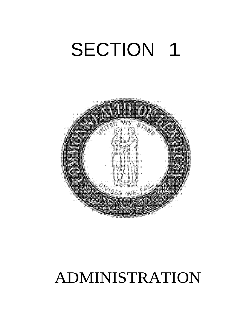## SECTION 1



### ADMINISTRATION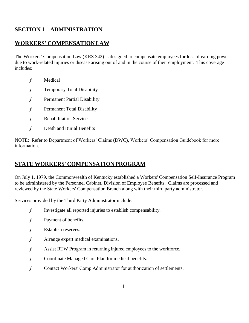#### **SECTION 1 – ADMINISTRATION**

#### **WORKERS' COMPENSATION LAW**

The Workers' Compensation Law (KRS 342) is designed to compensate employees for loss of earning power due to work-related injuries or disease arising out of and in the course of their employment. This coverage includes:

- ƒ Medical
- ƒ Temporary Total Disability
- ƒ Permanent Partial Disability
- ƒ Permanent Total Disability
- ƒ Rehabilitation Services
- ƒ Death and Burial Benefits

NOTE: Refer to Department of Workers' Claims (DWC), Workers' Compensation Guidebook for more information.

#### **STATE WORKERS' COMPENSATION PROGRAM**

On July 1, 1979, the Commonwealth of Kentucky established a Workers' Compensation Self-Insurance Program to be administered by the Personnel Cabinet, Division of Employee Benefits. Claims are processed and reviewed by the State Workers' Compensation Branch along with their third party administrator.

Services provided by the Third Party Administrator include:

- ƒ Investigate all reported injuries to establish compensability.
- ƒ Payment of benefits.
- ƒ Establish reserves.
- ƒ Arrange expert medical examinations.
- ƒ Assist RTW Program in returning injured employees to the workforce.
- ƒ Coordinate Managed Care Plan for medical benefits.
- ƒ Contact Workers' Comp Administrator for authorization of settlements.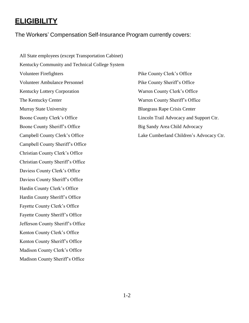#### **ELIGIBILITY**

The Workers' Compensation Self-Insurance Program currently covers:

All State employees (except Transportation Cabinet) Kentucky Community and Technical College System Volunteer Firefighters Pike County Clerk's Office Volunteer Ambulance Personnel Pike County Sheriff's Office Kentucky Lottery Corporation Warren County Clerk's Office The Kentucky Center Warren County Sheriff's Office Murray State University Bluegrass Rape Crisis Center Boone County Clerk's Office Lincoln Trail Advocacy and Support Ctr. Boone County Sheriff's Office Big Sandy Area Child Advocacy Campbell County Clerk's Office Lake Cumberland Children's Advocacy Ctr. Campbell County Sheriff's Office Christian County Clerk's Office Christian County Sheriff's Office Daviess County Clerk's Office Daviess County Sheriff's Office Hardin County Clerk's Office Hardin County Sheriff's Office Fayette County Clerk's Office Fayette County Sheriff's Office Jefferson County Sheriff's Office Kenton County Clerk's Office Kenton County Sheriff's Office Madison County Clerk's Office Madison County Sheriff's Office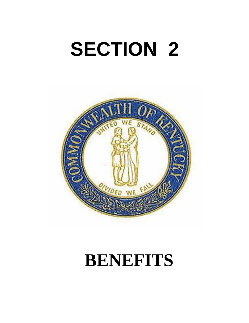# **SECTION 2**



### **BENEFITS**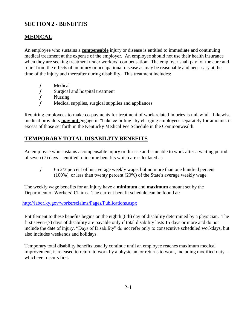#### **SECTION 2 - BENEFITS**

#### **MEDICAL**

An employee who sustains a **compensable** injury or disease is entitled to immediate and continuing medical treatment at the expense of the employer. An employee should not use their health insurance when they are seeking treatment under workers' compensation. The employer shall pay for the cure and relief from the effects of an injury or occupational disease as may be reasonable and necessary at the time of the injury and thereafter during disability. This treatment includes:

- ƒ Medical
- ƒ Surgical and hospital treatment
- $f$  Nursing
- ƒ Medical supplies, surgical supplies and appliances

Requiring employees to make co-payments for treatment of work-related injuries is unlawful. Likewise, medical providers **may not** engage in "balance billing" by charging employees separately for amounts in excess of those set forth in the Kentucky Medical Fee Schedule in the Commonwealth.

#### **TEMPORARY TOTAL DISABILITY BENEFITS**

An employee who sustains a compensable injury or disease and is unable to work after a waiting period of seven (7) days is entitled to income benefits which are calculated at:

ƒ 66 2/3 percent of his average weekly wage, but no more than one hundred percent (100%), or less than twenty percent (20%) of the State's average weekly wage.

The weekly wage benefits for an injury have a **minimum** and **maximum** amount set by the Department of Workers' Claims. The current benefit schedule can be found at:

<http://labor.ky.gov/workersclaims/Pages/Publications.aspx>

Entitlement to these benefits begins on the eighth (8th) day of disability determined by a physician. The first seven-(7) days of disability are payable only if total disability lasts 15 days or more and do not include the date of injury. "Days of Disability" do not refer only to consecutive scheduled workdays, but also includes weekends and holidays.

Temporary total disability benefits usually continue until an employee reaches maximum medical improvement, is released to return to work by a physician, or returns to work, including modified duty - whichever occurs first.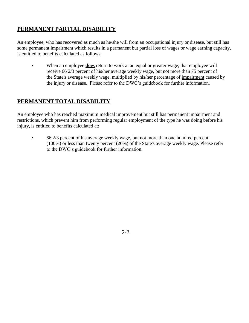#### **PERMANENT PARTIAL DISABILITY**

An employee, who has recovered as much as he/she will from an occupational injury or disease, but still has some permanent impairment which results in a permanent but partial loss of wages or wage earning capacity, is entitled to benefits calculated as follows:

• When an employee **does** return to work at an equal or greater wage, that employee will receive 66 2/3 percent of his/her average weekly wage, but not more than 75 percent of the State's average weekly wage, multiplied by his/her percentage of impairment caused by the injury or disease. Please refer to the DWC's guidebook for further information.

#### **PERMANENT TOTAL DISABILITY**

An employee who has reached maximum medical improvement but still has permanent impairment and restrictions, which prevent him from performing regular employment of the type he was doing before his injury, is entitled to benefits calculated at:

• 66 2/3 percent of his average weekly wage, but not more than one hundred percent (100%) or less than twenty percent (20%) of the State's average weekly wage. Please refer to the DWC's guidebook for further information.

 $2 - 2$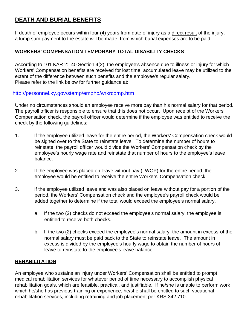#### **DEATH AND BURIAL BENEFITS**

If death of employee occurs within four (4) years from date of injury as a direct result of the injury, a lump sum payment to the estate will be made, from which burial expenses are to be paid.

#### **WORKERS' COMPENSATION TEMPORARY TOTAL DISABILITY CHECKS**

According to 101 KAR 2:140 Section 4(2), the employee's absence due to illness or injury for which Workers' Compensation benefits are received for lost time, accumulated leave may be utilized to the extent of the difference between such benefits and the employee's regular salary. Please refer to the link below for further guidance at:

#### <http://personnel.ky.gov/stemp/emphb/wrkrcomp.htm>

Under no circumstances should an employee receive more pay than his normal salary for that period. The payroll officer is responsible to ensure that this does not occur. Upon receipt of the Workers' Compensation check, the payroll officer would determine if the employee was entitled to receive the check by the following guidelines:

- 1. If the employee utilized leave for the entire period, the Workers' Compensation check would be signed over to the State to reinstate leave. To determine the number of hours to reinstate, the payroll officer would divide the Workers' Compensation check by the employee's hourly wage rate and reinstate that number of hours to the employee's leave balance.
- 2. If the employee was placed on leave without pay (LWOP) for the entire period, the employee would be entitled to receive the entire Workers' Compensation check.
- 3. If the employee utilized leave and was also placed on leave without pay for a portion of the period, the Workers' Compensation check and the employee's payroll check would be added together to determine if the total would exceed the employee's normal salary.
	- a. If the two (2) checks do not exceed the employee's normal salary, the employee is entitled to receive both checks.
	- b. If the two (2) checks exceed the employee's normal salary, the amount in excess of the normal salary must be paid back to the State to reinstate leave. The amount in excess is divided by the employee's hourly wage to obtain the number of hours of leave to reinstate to the employee's leave balance.

#### **REHABILITATION**

An employee who sustains an injury under Workers' Compensation shall be entitled to prompt medical rehabilitation services for whatever period of time necessary to accomplish physical rehabilitation goals, which are feasible, practical, and justifiable. If he/she is unable to perform work which he/she has previous training or experience, he/she shall be entitled to such vocational rehabilitation services, including retraining and job placement per KRS 342.710.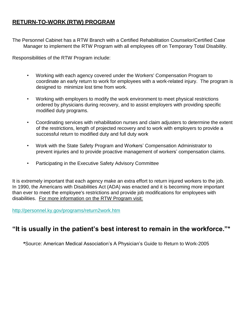#### **RETURN-TO-WORK (RTW) PROGRAM**

The Personnel Cabinet has a RTW Branch with a Certified Rehabilitation Counselor/Certified Case Manager to implement the RTW Program with all employees off on Temporary Total Disability.

Responsibilities of the RTW Program include:

- Working with each agency covered under the Workers' Compensation Program to coordinate an early return to work for employees with a work-related injury. The program is designed to minimize lost time from work.
- Working with employers to modify the work environment to meet physical restrictions ordered by physicians during recovery, and to assist employers with providing specific modified duty programs.
- Coordinating services with rehabilitation nurses and claim adjusters to determine the extent of the restrictions, length of projected recovery and to work with employers to provide a successful return to modified duty and full duty work
- Work with the State Safety Program and Workers' Compensation Administrator to prevent injuries and to provide proactive management of workers' compensation claims.
- Participating in the Executive Safety Advisory Committee

It is extremely important that each agency make an extra effort to return injured workers to the job. In 1990, the Americans with Disabilities Act (ADA) was enacted and it is becoming more important than ever to meet the employee's restrictions and provide job modifications for employees with disabilities. For more information on the RTW Program visit:

<http://personnel.ky.gov/programs/return2work.htm>

#### **"It is usually in the patient's best interest to remain in the workforce."\***

**\***Source: American Medical Association's A Physician's Guide to Return to Work-2005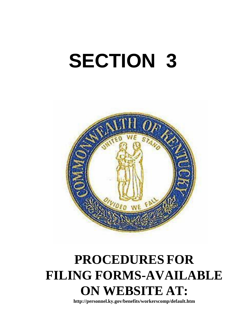# **SECTION 3**



### **PROCEDURES FOR FILING FORMS-AVAILABLE ON WEBSITE AT:**

**<http://personnel.ky.gov/benefits/workerscomp/default.htm>**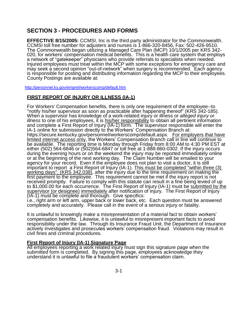#### **SECTION 3 - PROCEDURES AND FORMS**

**EFFECTIVE 8/15/2005:** CCMSI, Inc is the third party administrator for the Commonwealth. CCMSI toll free number for adjusters and nurses is 1-866-320-8456, Fax: 502-426-9510. The Commonwealth began utilizing a Managed Care Plan (MCP) 10/1/2005 per KRS 342- 020, for workers' compensation medical benefits. This is a health care system that employs a network of "gatekeeper" physicians who provide referrals to specialists when needed. Injured employees must treat within the MCP with some exceptions for emergency care and may seek a second opinion "out-of-network" when surgery is recommended. Each agency is responsible for posting and distributing information regarding the MCP to their employees. County Postings are available at:

<http://personnel.ky.gov/emprel/workerscomp/default.htm>

#### **FIRST REPORT OF INJURY OR ILLNESS (IA-1)**

For Workers' Compensation benefits, there is only one requirement of the employee--to "notify his/her supervisor as soon as practicable after happening thereof" (KRS 342-185). When a supervisor has knowledge of a work-related injury or illness or *alleged injury or illness* to one of his employees, it is his/her responsibility to obtain all pertinent information and complete a First Report of Injury (IA-1) form. The supervisor responsible will enter the IA-1 online for submission directly to the Workers' Compensation Branch at: https://secure.kentucky.gov/personnel/workerscomp/default.aspx. For employers that have limited internet access only, the Workers' Compensation Branch call in line will continue to be available. The reporting time is Monday through Friday from 8:00 AM to 4:30 PM EST at either (502) 564-6846 or (502)564-6847 or toll free at 1-888-860-0302. If the injury occurs during the evening hours or on the weekend the injury may be reported immediately online or at the beginning of the next working day. The Claim Number will be emailed to your agency for your record. Even if the employee does not plan to visit a doctor, it is still important to report a First Report of Injury (IA-1). This must be completed "within three (3) working days", (KRS 342.038), after the injury due to the time requirement on making the first payment to the employee. This requirement cannot be met if the injury report is not received promptly. Failure to comply with this statute can result in a fine being levied of up to \$1,000.00 for each occurrence. The First Report of Injury (IA-1) must be submitted by the supervisor (or designee) immediately after notification of injury. The First Report of Injury (IA-1) must be complete and thorough. Give specifics:

i.e., right arm or left arm, upper back or lower back, etc. Each question must be answered completely and accurately. Please call in the event of a serious injury or fatality.

It is unlawful to knowingly make a misrepresentation of a material fact to obtain workers' compensation benefits. Likewise, it is unlawful to misrepresent important facts to avoid responsibility under the law. Through its Insurance Fraud Unit, the Department of Insurance actively investigates and prosecutes workers' compensation fraud. Violations may result in civil fines and criminal procedures.

#### **First Report of Injury (IA-1) Signature Page**

All employees reporting a work related injury must sign this signature page when the submitted form is completed. By signing this page, employees acknowledge they understand it is unlawful to file a fraudulent workers' compensation claim.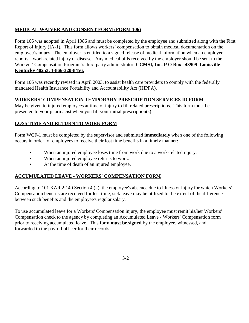#### **MEDICAL WAIVER AND CONSENT FORM (FORM 106)**

Form 106 was adopted in April 1986 and must be completed by the employee and submitted along with the First Report of Injury (IA-1). This form allows workers' compensation to obtain medical documentation on the employee's injury. The employer is entitled to a signed release of medical information when an employee reports a work-related injury or disease. Any medical bills received by the employer should be sent to the Workers' Compensation Program's third party administrator: **CCMSI, Inc. P O Box 43909 Louisville Kentucky 40253, 1-866-320-8456.**

Form 106 was recently revised in April 2003, to assist health care providers to comply with the federally mandated Health Insurance Portability and Accountability Act (HIPPA).

#### **WORKERS' COMPENSATION TEMPORARY PRESCRIPTION SERVICES ID FORM** –

May be given to injured employees at time of injury to fill related prescriptions. This form must be presented to your pharmacist when you fill your initial prescription(s).

#### **LOSS TIME AND RETURN TO WORK FORM**

Form WCF-1 must be completed by the supervisor and submitted **immediately** when one of the following occurs in order for employees to receive their lost time benefits in a timely manner:

- When an injured employee loses time from work due to a work-related injury.
- When an injured employee returns to work.
- At the time of death of an injured employee.

#### **ACCUMULATED LEAVE - WORKERS' COMPENSATION FORM**

According to 101 KAR 2:140 Section 4 (2), the employee's absence due to illness or injury for which Workers' Compensation benefits are received for lost time, sick leave may be utilized to the extent of the difference between such benefits and the employee's regular salary.

To use accumulated leave for a Workers' Compensation injury, the employee must remit his/her Workers' Compensation check to the agency by completing an Accumulated Leave - Workers' Compensation form prior to receiving accumulated leave. This form **must be signed** by the employee, witnessed, and forwarded to the payroll officer for their records.

3-2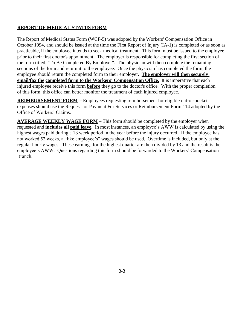#### **REPORT OF MEDICAL STATUS FORM**

The Report of Medical Status Form (WCF-5) was adopted by the Workers' Compensation Office in October 1994, and should be issued at the time the First Report of Injury (IA-1) is completed or as soon as practicable, if the employee intends to seek medical treatment. This form must be issued to the employee prior to their first doctor's appointment. The employer is responsible for completing the first section of the form titled, "To Be Completed By Employer". The physician will then complete the remaining sections of the form and return it to the employee. Once the physician has completed the form, the employee should return the completed form to their employer. **The employer will then securely email/fax the completed form to the Workers' Compensation Office.** It is imperative that each injured employee receive this form **before** they go to the doctor's office. With the proper completion of this form, this office can better monitor the treatment of each injured employee.

**REIMBURSEMENT FORM** - Employees requesting reimbursement for eligible out-of-pocket expenses should use the Request for Payment For Services or Reimbursement Form 114 adopted by the Office of Workers' Claims.

**AVERAGE WEEKLY WAGE FORM** – This form should be completed by the employer when requested and **includes all paid leave**. In most instances, an employee's AWW is calculated by using the highest wages paid during a 13 week period in the year before the injury occurred. If the employee has not worked 52 weeks, a "like employee's" wages should be used. Overtime is included, but only at the regular hourly wages. These earnings for the highest quarter are then divided by 13 and the result is the employee's AWW. Questions regarding this form should be forwarded to the Workers' Compensation Branch.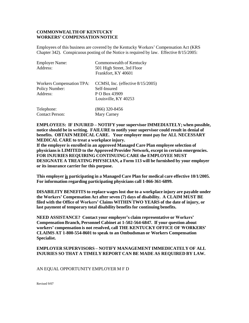#### **COMMONWEALTH OF KENTUCKY WORKERS' COMPENSATION NOTICE**

Employees of this business are covered by the Kentucky Workers' Compensation Act (KRS Chapter 342). Conspicuous posting of the Notice is required by law. Effective 8/15/2005:

| <b>Employer Name:</b><br>Address:                                     | Commonwealth of Kentucky<br>501 High Street, 3rd Floor<br>Frankfort, KY 40601                 |
|-----------------------------------------------------------------------|-----------------------------------------------------------------------------------------------|
| <b>Workers Compensation TPA:</b><br><b>Policy Number:</b><br>Address: | CCMSI, Inc. (effective $8/15/2005$ )<br>Self-Insured<br>P O Box 43909<br>Louisville, KY 40253 |
| Telephone:<br><b>Contact Person:</b>                                  | $(866)$ 320-8456<br>Mary Carney                                                               |

**EMPLOYEES: IF INJURED – NOTIFY your supervisor IMMEDIATELY; when possible, notice should be in writing. FAILURE to notify your supervisor could result in denial of benefits. OBTAIN MEDICAL CARE. Your employer must pay for ALL NECESSARY MEDICAL CARE to treat a workplace injury.**

**If the employer is enrolled in an approved Managed Care Plan employee selection of physicians is LIMITED to the Approved Provider Network, except in certain emergencies. FOR INJURIES REQUIRING CONTINUING CARE the EMPLOYEE MUST DESIGNATE A TREATING PHYSICIAN, a Form 113 will be furnished by your employer or its insurance carrier for this purpose.**

**This employer is participating in a Managed Care Plan for medical care effective 10/1/2005. For information regarding participating physicians call 1-866-361-6899.**

**DISABILITY BENEFITS to replace wages lost due to a workplace injury are payable under the Workers' Compensation Act after seven (7) days of disability. A CLAIM MUST BE filed with the Office of Workers' Claims WITHIN TWO YEARS of the date of injury, or last payment of temporary total disability benefits for continuing benefits.**

**NEED ASSISTANCE? Contact your employer's claim representative or Workers' Compensation Branch, Personnel Cabinet at 1-502-564-6847. If your question about workers' compensation is not resolved, call THE KENTUCKY OFFICE OF WORKERS' CLAIMS AT 1-800-554-8601 to speak to an Ombudsman or Workers Compensation Specialist.**

#### **EMPLOYER SUPERVISORS – NOTIFY MANAGEMENT IMMEDICATELY OF ALL INJURIES SO THAT A TIMELY REPORT CAN BE MADE AS REQUIRED BY LAW.**

#### AN EQUAL OPPORTUNITY EMPLOYER M F D

Revised 9/07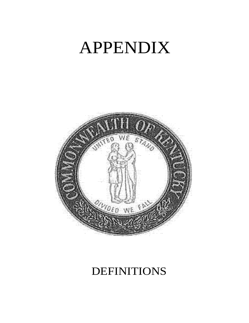## APPENDIX



### DEFINITIONS